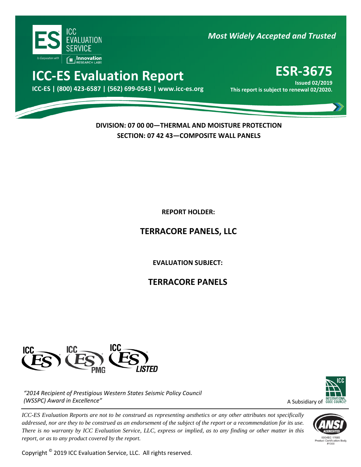

*Most Widely Accepted and Trusted* 

# **ICC-ES Evaluation Report ESR-3675**

000 **ICC-ES | (800) 423-6587 | (562) 699-0543 | www.icc-es.org This report is subject to renewal 02/2020.**

**Issued 02/2019**<br>**This report is subject to renewal 02/2020.** 

**DIVISION: 07 00 00—THERMAL AND MOISTURE PROTECTION SECTION: 07 42 43—COMPOSITE WALL PANELS**

**REPORT HOLDER:** 

**TERRACORE PANELS, LLC**

**EVALUATION SUBJECT:**

**TERRACORE PANELS**



*"2014 Recipient of Prestigious Western States Seismic Policy Council (WSSPC) Award in Excellence"*

*ICC-ES Evaluation Reports are not to be construed as representing aesthetics or any other attributes not specifically addressed, nor are they to be construed as an endorsement of the subject of the report or a recommendation for its use. There is no warranty by ICC Evaluation Service, LLC, express or implied, as to any finding or other matter in this report, or as to any product covered by the report.*

Copyright © 2019 ICC Evaluation Service, LLC. All rights reserved.



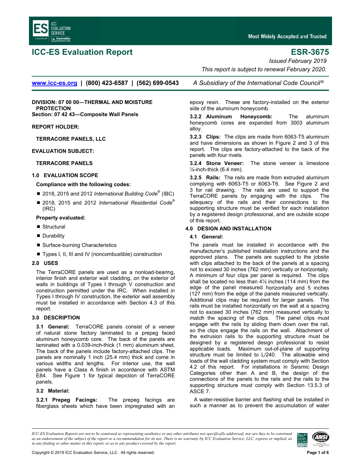

# **ICC-ES Evaluation Report**

## **ESR-3675**

**Issued February 2019** 

This report is subject to renewal February 2020.

www.icc-es.org | (800) 423-6587 | (562) 699-0543

DIVISION: 07 00 00-THERMAL AND MOISTURE **PROTECTION** Section: 07 42 43-Composite Wall Panels

### **REPORT HOLDER:**

**TERRACORE PANELS, LLC** 

### **EVALUATION SUBJECT:**

#### **TERRACORE PANELS**

#### 1.0 EVALUATION SCOPE

#### Compliance with the following codes:

- 2018, 2015 and 2012 International Building Code<sup>®</sup> (IBC)
- 2018, 2015 and 2012 International Residential Code<sup>®</sup>  $(IRC)$

#### **Property evaluated:**

- Structural
- Durability
- Surface-burning Characteristics
- Types I, II, III and IV (noncombustible) construction

### 2.0 USES

The TerraCORE panels are used as a nonload-bearing, interior finish and exterior wall cladding, on the exterior of walls in buildings of Types I through V construction and construction permitted under the IRC. When installed in Types I through IV construction, the exterior wall assembly must be installed in accordance with Section 4.3 of this report.

### 3.0 DESCRIPTION

3.1 General: TerraCORE panels consist of a veneer of natural stone factory laminated to a prepeg faced aluminum honeycomb core. The back of the panels are laminated with a 0.039-inch-thick (1 mm) aluminum sheet. The back of the panels include factory-attached clips. The panels are nominally 1 inch (25.4 mm) thick and come in various widths and lengths. For interior use, the wall panels have a Class A finish in accordance with ASTM E84. See Figure 1 for typical depiction of TerraCORE panels.

### 3.2 Material:

3.2.1 Prepeg Facings: The prepeg facings are fiberglass sheets which have been impregnated with an A Subsidiary of the International Code Council<sup>®</sup>

epoxy resin. These are factory-installed on the exterior side of the aluminum honeycomb.

3.2.2 Aluminum Honeycomb: The aluminum honeycomb cores are expanded from 3003 aluminum alloy.

3.2.3 Clips: The clips are made from 6063-T5 aluminum and have dimensions as shown in Figure 2 and 3 of this report. The clips are factory-attached to the back of the panels with four rivets.

3.2.4 Stone Veneer: The stone veneer is limestone  $\frac{1}{4}$ -inch-thick (6.4 mm).

3.2.5 Rails: The rails are made from extruded aluminum complying with 6063-T5 or 6063-T6. See Figure 2 and 3 for rail drawing. The rails are used to support the TerraCORE panels by engaging with the clips. The adequacy of the rails and their connections to the supporting structure must be verified for each installation by a registered design professional, and are outside scope of this report.

#### **4.0 DESIGN AND INSTALLATION**

### 4.1 General:

The panels must be installed in accordance with the manufacturer's published installation instructions and the approved plans. The panels are supplied to the jobsite with clips attached to the back of the panels at a spacing not to exceed 30 inches (762 mm) vertically or horizontally. A minimum of four clips per panel is required. The clips shall be located no less than  $4\frac{1}{2}$  inches (114 mm) from the edge of the panel measured horizontally and 5 inches (127 mm) from the edge of the panels measured vertically. Additional clips may be required for larger panels. The rails must be installed horizontally on the wall at a spacing not to exceed 30 inches (762 mm) measured vertically to match the spacing of the clips. The panel clips must engage with the rails by sliding them down over the rail, so the clips engage the rails on the wall. Attachment of the extrusion rails to the supporting structure must be designed by a registered design professional to resist applicable loads. Maximum out-of-plane of supporting structure must be limited to L/240. The allowable wind loads of the wall cladding system must comply with Section 4.2 of this report. For installations in Seismic Design Categories other than A and B, the design of the connections of the panels to the rails and the rails to the supporting structure must comply with Section 13.5.3 of ASCE 7.

A water-resistive barrier and flashing shall be installed in such a manner as to prevent the accumulation of water

ICC-ES Evaluation Reports are not to be construed as representing aesthetics or any other attributes not specifically addressed, nor are they to be construed as an endorsement of the subject of the report or a recommendation for its use. There is no warranty by ICC Evaluation Service, LLC, express or implied, as to any finding or other matter in this report, or as to any product covered by the report.

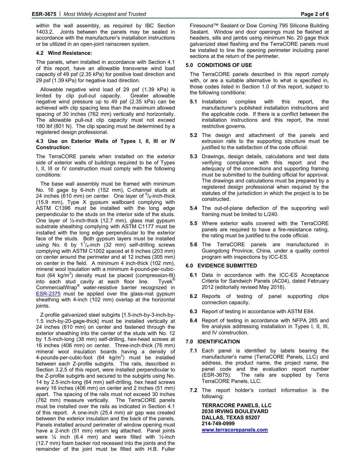within the wall assembly, as required by IBC Section 1403.2. Joints between the panels may be sealed in accordance with the manufacturer's installation instructions or be utilized in an open-joint rainscreen system.

#### **4.2 Wind Resistance:**

The panels, when installed in accordance with Section 4.1 of this report, have an allowable transverse wind load capacity of 49 psf (2.35 kPa) for positive load direction and 29 psf (1.39 kPa) for negative load direction.

Allowable negative wind load of 29 psf (1.39 kPa) is limited by clip pull-out capacity. Greater allowable negative wind pressure up to 49 psf (2.35 kPa) can be achieved with clip spacing less than the maximum allowed spacing of 30 inches (762 mm) vertically and horizontally. The allowable pull-out clip capacity must not exceed 180 lbf (801 N). The clip spacing must be determined by a registered design professional.

#### **4.3 Use on Exterior Walls of Types I, II, III or IV Construction:**

The TerraCORE panels when installed on the exterior side of exterior walls of buildings required to be of Types I, II, III or IV construction must comply with the following conditions:

The base wall assembly must be framed with minimum No. 16 gage by 6-inch (152 mm), C-channel studs at 24 inches (610 mm) on center. One layer of  $5/8$ -inch-thick (15.9 mm), Type X gypsum wallboard complying with ASTM C1396 must be installed with the long edge perpendicular to the studs on the interior side of the studs. One layer of ½-inch-thick (12.7 mm), glass mat gypsum substrate sheathing complying with ASTM C1177 must be installed with the long edge perpendicular to the exterior face of the studs. Both gypsum layers must be installed using No. 6 by  $1^{1}/_{4}$ -inch (32 mm) self-drilling screws complying with ASTM C1002 spaced at 8 inches (203 mm) on center around the perimeter and at 12 inches (305 mm) on center in the field. A minimum 4 inch-thick (102 mm), mineral wool insulation with a minimum 4-pound-per-cubicfoot (64 kg/m<sup>3</sup>) density must be placed (compression-fit) into each stud cavity at each floor line. Tyvek<sup>®</sup> CommercialWrap® water-resistive barrier recognized in **ESR-2375** must be applied over the glass-mat gypsum sheathing with 4-inch (102 mm) overlap at the horizontal joints.

Z-profile galvanized steel subgirts [1.5-inch-by-3-inch-by-1.5 inch-by-20-gage-thick] must be installed vertically at 24 inches (610 mm) on center and fastened through the exterior sheathing into the center of the studs with No. 12 by 1.5-inch-long (38 mm) self-drilling, hex-head screws at 16 inches (406 mm) on center. Three-inch-thick (76 mm) mineral wool insulation boards having a density of 4-pounds-per-cubic-foot  $(64 \text{ kg/m}^3)$  must be installed between each Z-profile subgirts. The rails, described in Section 3.2.5 of this report, were installed perpendicular to the Z-profile subgirts and secured to the subgirts using No. 14 by 2.5-inch-long (64 mm) self-drilling, hex head screws every 16 inches (406 mm) on center and 2 inches (51 mm) apart. The spacing of the rails must not exceed 30 inches (762 mm) measure vertically. The TerraCORE panels must be installed over the rails as indicated in Section 4.1 of this report. A one-inch (25.4 mm) air gap was created between the exterior insulation and the back of the panels. Panels installed around perimeter of window opening must have a 2-inch (51 mm) return leg attached. Panel joints were  $\frac{1}{4}$  inch (6.4 mm) and were filled with  $\frac{1}{2}$ -inch (12.7 mm) foam backer rod recessed into the joints and the remainder of the joint must be filled with H.B. Fuller

#### **5.0 CONDITIONS OF USE**

The TerraCORE panels described in this report comply with, or are a suitable alternative to what is specified in, those codes listed in Section 1.0 of this report, subject to the following conditions:

- **5.1** Installation complies with this report, the manufacturer's published installation instructions and the applicable code. If there is a conflict between the installation instructions and this report, the most restrictive governs.
- **5.2** The design and attachment of the panels and extrusion rails to the supporting structure must be justified to the satisfaction of the code official.
- **5.3** Drawings, design details, calculations and test data verifying compliance with this report and the adequacy of the connections and supporting framing must be submitted to the building official for approval. The drawings and calculations must be prepared by a registered design professional when required by the statutes of the jurisdiction in which the project is to be constructed.
- **5.4** The out-of-plane deflection of the supporting wall framing must be limited to L/240.
- **5.5** Where exterior walls covered with the TerraCORE panels are required to have a fire-resistance rating, the rating must be justified to the code official.
- **5.6** The TerraCORE panels are manufactured in Guangdong Province, China, under a quality control program with inspections by ICC-ES.

### **6.0 EVIDENCE SUBMITTED**

- **6.1** Data in accordance with the ICC-ES Acceptance Criteria for Sandwich Panels (AC04), dated February 2012 (editorially revised May 2018).
- **6.2** Reports of testing of panel supporting clips connection capacity.
- **6.3** Report of testing in accordance with ASTM E84.
- **6.4** Report of testing in accordance with NFPA 285 and fire analysis addressing installation in Types I, II, III, and IV construction.

#### **7.0 IDENTIFICATION**

- **7.1** Each panel is identified by labels bearing the manufacturer's name (TerraCORE Panels, LLC) and address, the product name, the project name, the panel code and the evaluation report number (ESR-3675). The rails are supplied by Terra TerraCORE Panels, LLC.
- **7.2** The report holder's contact information is the following:

**TERRACORE PANELS, LLC 2030 IRVING BOULEVARD DALLAS, TEXAS 85207 214-749-0999 www.terracorepanels.com**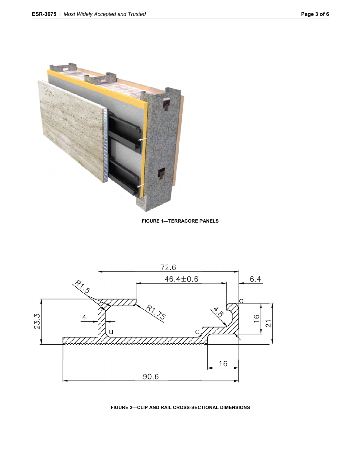





FIGURE 2-CLIP AND RAIL CROSS-SECTIONAL DIMENSIONS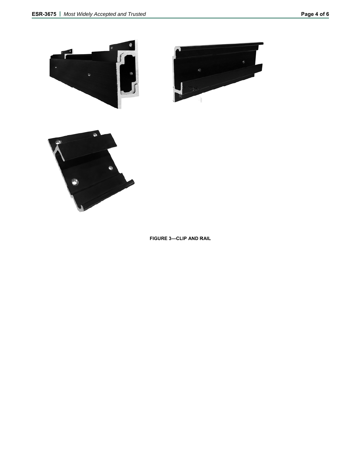



**FIGURE 3—CLIP AND RAIL**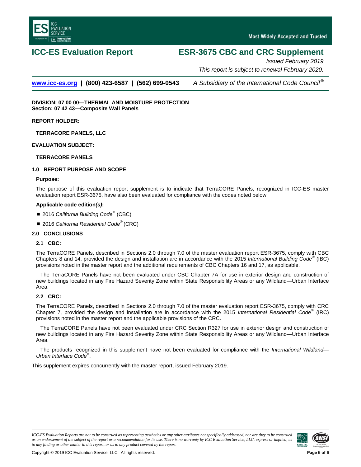

# **ICC-ES Evaluation Report ESR-3675 CBC and CRC Supplement**

*Issued February 2019 This report is subject to renewal February 2020.*

**[www.icc-es.org](http://www.icc-es.org/) | (800) 423-6587 | (562) 699-0543** *A Subsidiary of the International Code Council ®*

**DIVISION: 07 00 00—THERMAL AND MOISTURE PROTECTION Section: 07 42 43—Composite Wall Panels**

**REPORT HOLDER:**

**TERRACORE PANELS, LLC**

**EVALUATION SUBJECT:**

### **TERRACORE PANELS**

### **1.0 REPORT PURPOSE AND SCOPE**

#### **Purpose:**

The purpose of this evaluation report supplement is to indicate that TerraCORE Panels, recognized in ICC-ES master evaluation report ESR-3675, have also been evaluated for compliance with the codes noted below.

### **Applicable code edition***(s)***:**

- 2016 *California Building Code<sup>®</sup>* (CBC)
- 2016 *California Residential Code*<sup>®</sup> (CRC)

### **2.0 CONCLUSIONS**

### **2.1 CBC:**

The TerraCORE Panels, described in Sections 2.0 through 7.0 of the master evaluation report ESR-3675, comply with CBC Chapters 8 and 14, provided the design and installation are in accordance with the 2015 *International Building Code*® (IBC) provisions noted in the master report and the additional requirements of CBC Chapters 16 and 17, as applicable.

The TerraCORE Panels have not been evaluated under CBC Chapter 7A for use in exterior design and construction of new buildings located in any Fire Hazard Severity Zone within State Responsibility Areas or any Wildland—Urban Interface Area.

### **2.2 CRC:**

The TerraCORE Panels, described in Sections 2.0 through 7.0 of the master evaluation report ESR-3675, comply with CRC Chapter 7, provided the design and installation are in accordance with the 2015 *International Residential Code*® (IRC) provisions noted in the master report and the applicable provisions of the CRC.

The TerraCORE Panels have not been evaluated under CRC Section R327 for use in exterior design and construction of new buildings located in any Fire Hazard Severity Zone within State Responsibility Areas or any Wildland—Urban Interface Area.

The products recognized in this supplement have not been evaluated for compliance with the *International Wildland— Urban Interface Code*® .

This supplement expires concurrently with the master report, issued February 2019.

*ICC-ES Evaluation Reports are not to be construed as representing aesthetics or any other attributes not specifically addressed, nor are they to be construed as an endorsement of the subject of the report or a recommendation for its use. There is no warranty by ICC Evaluation Service, LLC, express or implied, as to any finding or other matter in this report, or as to any product covered by the report.*